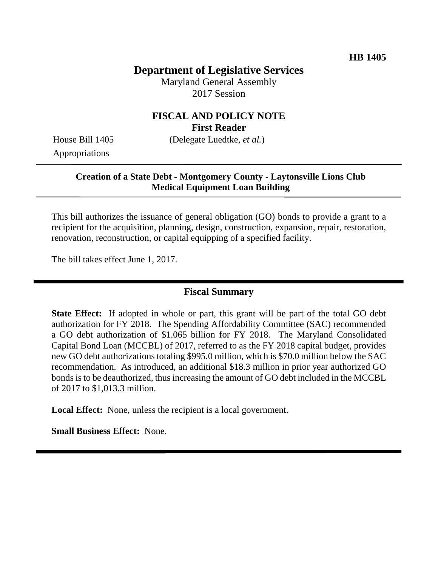### **Department of Legislative Services**

Maryland General Assembly 2017 Session

#### **FISCAL AND POLICY NOTE First Reader**

House Bill 1405 (Delegate Luedtke, *et al.*)

Appropriations

#### **Creation of a State Debt - Montgomery County - Laytonsville Lions Club Medical Equipment Loan Building**

This bill authorizes the issuance of general obligation (GO) bonds to provide a grant to a recipient for the acquisition, planning, design, construction, expansion, repair, restoration, renovation, reconstruction, or capital equipping of a specified facility.

The bill takes effect June 1, 2017.

### **Fiscal Summary**

**State Effect:** If adopted in whole or part, this grant will be part of the total GO debt authorization for FY 2018. The Spending Affordability Committee (SAC) recommended a GO debt authorization of \$1.065 billion for FY 2018. The Maryland Consolidated Capital Bond Loan (MCCBL) of 2017, referred to as the FY 2018 capital budget, provides new GO debt authorizations totaling \$995.0 million, which is \$70.0 million below the SAC recommendation. As introduced, an additional \$18.3 million in prior year authorized GO bonds is to be deauthorized, thus increasing the amount of GO debt included in the MCCBL of 2017 to \$1,013.3 million.

**Local Effect:** None, unless the recipient is a local government.

**Small Business Effect:** None.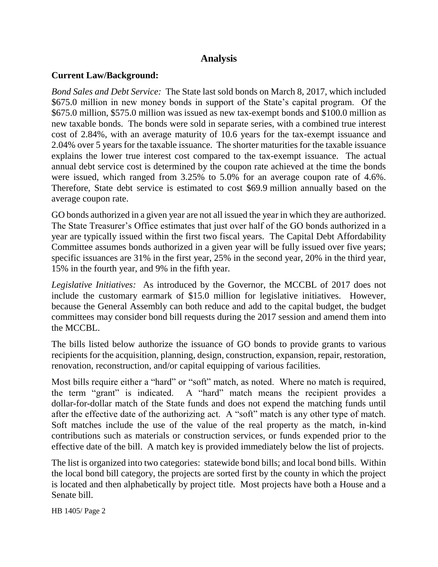### **Analysis**

### **Current Law/Background:**

*Bond Sales and Debt Service:* The State last sold bonds on March 8, 2017, which included \$675.0 million in new money bonds in support of the State's capital program. Of the \$675.0 million, \$575.0 million was issued as new tax-exempt bonds and \$100.0 million as new taxable bonds. The bonds were sold in separate series, with a combined true interest cost of 2.84%, with an average maturity of 10.6 years for the tax-exempt issuance and 2.04% over 5 years for the taxable issuance. The shorter maturities for the taxable issuance explains the lower true interest cost compared to the tax-exempt issuance. The actual annual debt service cost is determined by the coupon rate achieved at the time the bonds were issued, which ranged from 3.25% to 5.0% for an average coupon rate of 4.6%. Therefore, State debt service is estimated to cost \$69.9 million annually based on the average coupon rate.

GO bonds authorized in a given year are not all issued the year in which they are authorized. The State Treasurer's Office estimates that just over half of the GO bonds authorized in a year are typically issued within the first two fiscal years. The Capital Debt Affordability Committee assumes bonds authorized in a given year will be fully issued over five years; specific issuances are 31% in the first year, 25% in the second year, 20% in the third year, 15% in the fourth year, and 9% in the fifth year.

*Legislative Initiatives:* As introduced by the Governor, the MCCBL of 2017 does not include the customary earmark of \$15.0 million for legislative initiatives. However, because the General Assembly can both reduce and add to the capital budget, the budget committees may consider bond bill requests during the 2017 session and amend them into the MCCBL.

The bills listed below authorize the issuance of GO bonds to provide grants to various recipients for the acquisition, planning, design, construction, expansion, repair, restoration, renovation, reconstruction, and/or capital equipping of various facilities.

Most bills require either a "hard" or "soft" match, as noted. Where no match is required, the term "grant" is indicated. A "hard" match means the recipient provides a dollar-for-dollar match of the State funds and does not expend the matching funds until after the effective date of the authorizing act. A "soft" match is any other type of match. Soft matches include the use of the value of the real property as the match, in-kind contributions such as materials or construction services, or funds expended prior to the effective date of the bill. A match key is provided immediately below the list of projects.

The list is organized into two categories: statewide bond bills; and local bond bills. Within the local bond bill category, the projects are sorted first by the county in which the project is located and then alphabetically by project title. Most projects have both a House and a Senate bill.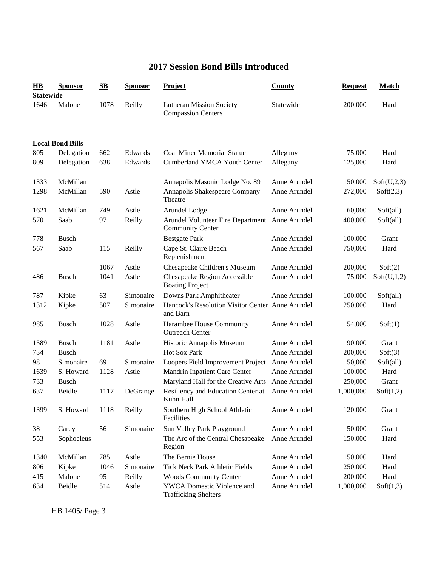## **2017 Session Bond Bills Introduced**

| $\bf{HB}$<br><b>Statewide</b> | <b>Sponsor</b>          | $\mathbf{S}\mathbf{B}$ | <b>Sponsor</b> | <b>Project</b>                                                            | <b>County</b> | <b>Request</b> | <b>Match</b> |
|-------------------------------|-------------------------|------------------------|----------------|---------------------------------------------------------------------------|---------------|----------------|--------------|
| 1646                          | Malone                  | 1078                   | Reilly         | <b>Lutheran Mission Society</b><br><b>Compassion Centers</b>              | Statewide     | 200,000        | Hard         |
|                               | <b>Local Bond Bills</b> |                        |                |                                                                           |               |                |              |
| 805                           | Delegation              | 662                    | Edwards        | <b>Coal Miner Memorial Statue</b>                                         | Allegany      | 75,000         | Hard         |
| 809                           | Delegation              | 638                    | Edwards        | <b>Cumberland YMCA Youth Center</b>                                       | Allegany      | 125,000        | Hard         |
| 1333                          | McMillan                |                        |                | Annapolis Masonic Lodge No. 89                                            | Anne Arundel  | 150,000        | Soft(U,2,3)  |
| 1298                          | McMillan                | 590                    | Astle          | Annapolis Shakespeare Company<br>Theatre                                  | Anne Arundel  | 272,000        | Soft(2,3)    |
| 1621                          | McMillan                | 749                    | Astle          | Arundel Lodge                                                             | Anne Arundel  | 60,000         | Soft(all)    |
| 570                           | Saab                    | 97                     | Reilly         | Arundel Volunteer Fire Department Anne Arundel<br><b>Community Center</b> |               | 400,000        | Soft(all)    |
| 778                           | <b>Busch</b>            |                        |                | <b>Bestgate Park</b>                                                      | Anne Arundel  | 100,000        | Grant        |
| 567                           | Saab                    | 115                    | Reilly         | Cape St. Claire Beach<br>Replenishment                                    | Anne Arundel  | 750,000        | Hard         |
|                               |                         | 1067                   | Astle          | Chesapeake Children's Museum                                              | Anne Arundel  | 200,000        | Soft(2)      |
| 486                           | <b>Busch</b>            | 1041                   | Astle          | Chesapeake Region Accessible<br><b>Boating Project</b>                    | Anne Arundel  | 75,000         | Soft(U,1,2)  |
| 787                           | Kipke                   | 63                     | Simonaire      | Downs Park Amphitheater                                                   | Anne Arundel  | 100,000        | Soft(all)    |
| 1312                          | Kipke                   | 507                    | Simonaire      | Hancock's Resolution Visitor Center Anne Arundel<br>and Barn              |               | 250,000        | Hard         |
| 985                           | <b>Busch</b>            | 1028                   | Astle          | Harambee House Community<br><b>Outreach Center</b>                        | Anne Arundel  | 54,000         | Soft(1)      |
| 1589                          | <b>Busch</b>            | 1181                   | Astle          | Historic Annapolis Museum                                                 | Anne Arundel  | 90,000         | Grant        |
| 734                           | <b>Busch</b>            |                        |                | Hot Sox Park                                                              | Anne Arundel  | 200,000        | Soft(3)      |
| 98                            | Simonaire               | 69                     | Simonaire      | Loopers Field Improvement Project                                         | Anne Arundel  | 50,000         | Soft(all)    |
| 1639                          | S. Howard               | 1128                   | Astle          | Mandrin Inpatient Care Center                                             | Anne Arundel  | 100,000        | Hard         |
| 733                           | <b>Busch</b>            |                        |                | Maryland Hall for the Creative Arts                                       | Anne Arundel  | 250,000        | Grant        |
| 637                           | Beidle                  | 1117                   | DeGrange       | Resiliency and Education Center at<br>Kuhn Hall-                          | Anne Arundel  | 1,000,000      | Soft(1,2)    |
| 1399                          | S. Howard               | 1118                   | Reilly         | Southern High School Athletic<br>Facilities                               | Anne Arundel  | 120,000        | Grant        |
| 38                            | Carey                   | 56                     | Simonaire      | Sun Valley Park Playground                                                | Anne Arundel  | 50,000         | Grant        |
| 553                           | Sophocleus              |                        |                | The Arc of the Central Chesapeake<br>Region                               | Anne Arundel  | 150,000        | Hard         |
| 1340                          | McMillan                | 785                    | Astle          | The Bernie House                                                          | Anne Arundel  | 150,000        | Hard         |
| 806                           | Kipke                   | 1046                   | Simonaire      | Tick Neck Park Athletic Fields                                            | Anne Arundel  | 250,000        | Hard         |
| 415                           | Malone                  | 95                     | Reilly         | <b>Woods Community Center</b>                                             | Anne Arundel  | 200,000        | Hard         |
| 634                           | Beidle                  | 514                    | Astle          | YWCA Domestic Violence and<br><b>Trafficking Shelters</b>                 | Anne Arundel  | 1,000,000      | Soft(1,3)    |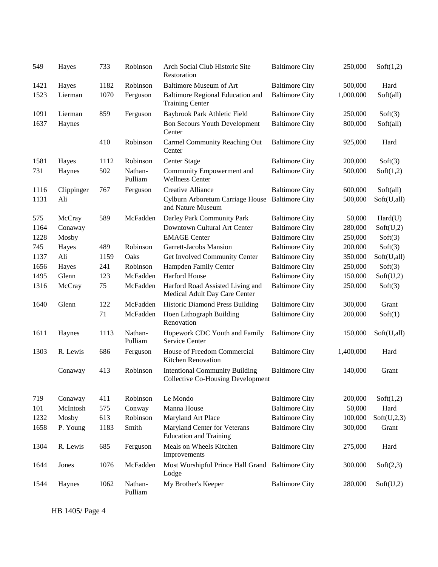| 549  | Hayes      | 733  | Robinson           | Arch Social Club Historic Site<br>Restoration                                     | <b>Baltimore City</b> | 250,000   | Soft(1,2)   |
|------|------------|------|--------------------|-----------------------------------------------------------------------------------|-----------------------|-----------|-------------|
| 1421 | Hayes      | 1182 | Robinson           | <b>Baltimore Museum of Art</b>                                                    | <b>Baltimore City</b> | 500,000   | Hard        |
| 1523 | Lierman    | 1070 | Ferguson           | Baltimore Regional Education and<br><b>Training Center</b>                        | <b>Baltimore City</b> | 1,000,000 | Soft(all)   |
| 1091 | Lierman    | 859  | Ferguson           | Baybrook Park Athletic Field                                                      | <b>Baltimore City</b> | 250,000   | Soft(3)     |
| 1637 | Haynes     |      |                    | <b>Bon Secours Youth Development</b><br>Center                                    | <b>Baltimore City</b> | 800,000   | Soft(all)   |
|      |            | 410  | Robinson           | Carmel Community Reaching Out<br>Center                                           | <b>Baltimore City</b> | 925,000   | Hard        |
| 1581 | Hayes      | 1112 | Robinson           | Center Stage                                                                      | <b>Baltimore City</b> | 200,000   | Soft(3)     |
| 731  | Haynes     | 502  | Nathan-<br>Pulliam | Community Empowerment and<br><b>Wellness Center</b>                               | <b>Baltimore City</b> | 500,000   | Soft(1,2)   |
| 1116 | Clippinger | 767  | Ferguson           | <b>Creative Alliance</b>                                                          | <b>Baltimore City</b> | 600,000   | Soft(all)   |
| 1131 | Ali        |      |                    | Cylburn Arboretum Carriage House<br>and Nature Museum                             | <b>Baltimore City</b> | 500,000   | Soft(U,all) |
| 575  | McCray     | 589  | McFadden           | Darley Park Community Park                                                        | <b>Baltimore City</b> | 50,000    | Hard(U)     |
| 1164 | Conaway    |      |                    | Downtown Cultural Art Center                                                      | <b>Baltimore City</b> | 280,000   | Soft(U,2)   |
| 1228 | Mosby      |      |                    | <b>EMAGE Center</b>                                                               | <b>Baltimore City</b> | 250,000   | Soft(3)     |
| 745  | Hayes      | 489  | Robinson           | Garrett-Jacobs Mansion                                                            | <b>Baltimore City</b> | 200,000   | Soft(3)     |
| 1137 | Ali        | 1159 | Oaks               | Get Involved Community Center                                                     | <b>Baltimore City</b> | 350,000   | Soft(U,all) |
| 1656 | Hayes      | 241  | Robinson           | Hampden Family Center                                                             | <b>Baltimore City</b> | 250,000   | Soft(3)     |
| 1495 | Glenn      | 123  | McFadden           | Harford House                                                                     | <b>Baltimore City</b> | 150,000   | Soft(U,2)   |
| 1316 | McCray     | 75   | McFadden           | Harford Road Assisted Living and<br>Medical Adult Day Care Center                 | <b>Baltimore City</b> | 250,000   | Soft(3)     |
| 1640 | Glenn      | 122  | McFadden           | <b>Historic Diamond Press Building</b>                                            | <b>Baltimore City</b> | 300,000   | Grant       |
|      |            | 71   | McFadden           | Hoen Lithograph Building<br>Renovation                                            | <b>Baltimore City</b> | 200,000   | Soft(1)     |
| 1611 | Haynes     | 1113 | Nathan-<br>Pulliam | Hopework CDC Youth and Family<br>Service Center                                   | <b>Baltimore City</b> | 150,000   | Soft(U,all) |
| 1303 | R. Lewis   | 686  | Ferguson           | House of Freedom Commercial<br>Kitchen Renovation                                 | <b>Baltimore City</b> | 1,400,000 | Hard        |
|      | Conaway    | 413  | Robinson           | <b>Intentional Community Building</b><br><b>Collective Co-Housing Development</b> | <b>Baltimore City</b> | 140,000   | Grant       |
| 719  | Conaway    | 411  | Robinson           | Le Mondo                                                                          | <b>Baltimore City</b> | 200,000   | Soft(1,2)   |
| 101  | McIntosh   | 575  | Conway             | Manna House                                                                       | <b>Baltimore City</b> | 50,000    | Hard        |
| 1232 | Mosby      | 613  | Robinson           | Maryland Art Place                                                                | <b>Baltimore City</b> | 100,000   | Soft(U,2,3) |
| 1658 | P. Young   | 1183 | Smith              | Maryland Center for Veterans<br><b>Education and Training</b>                     | <b>Baltimore City</b> | 300,000   | Grant       |
| 1304 | R. Lewis   | 685  | Ferguson           | Meals on Wheels Kitchen<br>Improvements                                           | <b>Baltimore City</b> | 275,000   | Hard        |
| 1644 | Jones      | 1076 | McFadden           | Most Worshipful Prince Hall Grand Baltimore City<br>Lodge                         |                       | 300,000   | Soft(2,3)   |
| 1544 | Haynes     | 1062 | Nathan-<br>Pulliam | My Brother's Keeper                                                               | <b>Baltimore City</b> | 280,000   | Soft(U,2)   |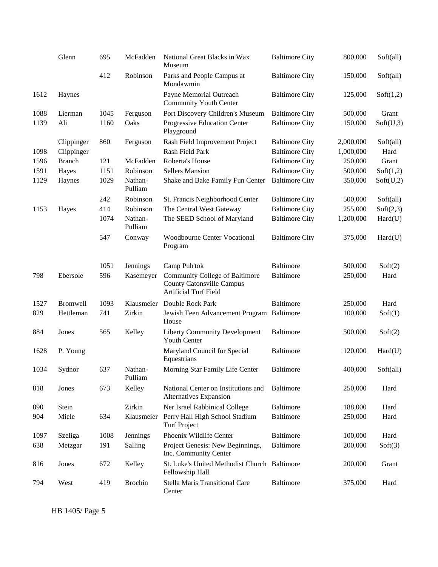|      | Glenn           | 695  | McFadden           | National Great Blacks in Wax<br>Museum                                                             | <b>Baltimore City</b> | 800,000   | Soft(all) |
|------|-----------------|------|--------------------|----------------------------------------------------------------------------------------------------|-----------------------|-----------|-----------|
|      |                 | 412  | Robinson           | Parks and People Campus at<br>Mondawmin                                                            | <b>Baltimore City</b> | 150,000   | Soft(all) |
| 1612 | Haynes          |      |                    | Payne Memorial Outreach<br><b>Community Youth Center</b>                                           | <b>Baltimore City</b> | 125,000   | Soft(1,2) |
| 1088 | Lierman         | 1045 | Ferguson           | Port Discovery Children's Museum                                                                   | <b>Baltimore City</b> | 500,000   | Grant     |
| 1139 | Ali             | 1160 | Oaks               | Progressive Education Center<br>Playground                                                         | <b>Baltimore City</b> | 150,000   | Soft(U,3) |
|      | Clippinger      | 860  | Ferguson           | Rash Field Improvement Project                                                                     | <b>Baltimore City</b> | 2,000,000 | Soft(all) |
| 1098 | Clippinger      |      |                    | Rash Field Park                                                                                    | <b>Baltimore City</b> | 1,000,000 | Hard      |
| 1596 | <b>Branch</b>   | 121  | McFadden           | Roberta's House                                                                                    | <b>Baltimore City</b> | 250,000   | Grant     |
| 1591 | Hayes           | 1151 | Robinson           | <b>Sellers Mansion</b>                                                                             | <b>Baltimore City</b> | 500,000   | Soft(1,2) |
| 1129 | Haynes          | 1029 | Nathan-<br>Pulliam | Shake and Bake Family Fun Center                                                                   | <b>Baltimore City</b> | 350,000   | Soft(U,2) |
|      |                 | 242  | Robinson           | St. Francis Neighborhood Center                                                                    | <b>Baltimore City</b> | 500,000   | Soft(all) |
| 1153 | Hayes           | 414  | Robinson           | The Central West Gateway                                                                           | <b>Baltimore City</b> | 255,000   | Soft(2,3) |
|      |                 | 1074 | Nathan-<br>Pulliam | The SEED School of Maryland                                                                        | <b>Baltimore City</b> | 1,200,000 | Hard(U)   |
|      |                 | 547  | Conway             | Woodbourne Center Vocational<br>Program                                                            | <b>Baltimore City</b> | 375,000   | Hard(U)   |
|      |                 | 1051 | Jennings           | Camp Puh'tok                                                                                       | Baltimore             | 500,000   | Soft(2)   |
| 798  | Ebersole        | 596  | Kasemeyer          | Community College of Baltimore<br><b>County Catonsville Campus</b><br><b>Artificial Turf Field</b> | <b>Baltimore</b>      | 250,000   | Hard      |
| 1527 | <b>Bromwell</b> | 1093 | Klausmeier         | Double Rock Park                                                                                   | Baltimore             | 250,000   | Hard      |
| 829  | Hettleman       | 741  | Zirkin             | Jewish Teen Advancement Program Baltimore<br>House                                                 |                       | 100,000   | Soft(1)   |
| 884  | Jones           | 565  | Kelley             | <b>Liberty Community Development</b><br>Youth Center                                               | <b>Baltimore</b>      | 500,000   | Soft(2)   |
| 1628 | P. Young        |      |                    | Maryland Council for Special<br>Equestrians                                                        | <b>Baltimore</b>      | 120,000   | Hard(U)   |
| 1034 | Sydnor          | 637  | Nathan-<br>Pulliam | Morning Star Family Life Center                                                                    | Baltimore             | 400,000   | Soft(all) |
| 818  | Jones           | 673  | Kelley             | National Center on Institutions and<br>Alternatives Expansion                                      | Baltimore             | 250,000   | Hard      |
| 890  | Stein           |      | Zirkin             | Ner Israel Rabbinical College                                                                      | <b>Baltimore</b>      | 188,000   | Hard      |
| 904  | Miele           | 634  | Klausmeier         | Perry Hall High School Stadium<br><b>Turf Project</b>                                              | <b>Baltimore</b>      | 250,000   | Hard      |
| 1097 | Szeliga         | 1008 | Jennings           | Phoenix Wildlife Center                                                                            | Baltimore             | 100,000   | Hard      |
| 638  | Metzgar         | 191  | Salling            | Project Genesis: New Beginnings,<br>Inc. Community Center                                          | <b>Baltimore</b>      | 200,000   | Soft(3)   |
| 816  | Jones           | 672  | Kelley             | St. Luke's United Methodist Church Baltimore<br>Fellowship Hall                                    |                       | 200,000   | Grant     |
| 794  | West            | 419  | <b>Brochin</b>     | Stella Maris Transitional Care<br>Center                                                           | Baltimore             | 375,000   | Hard      |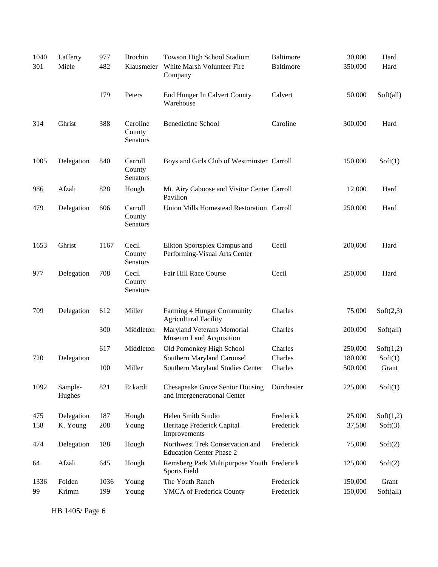| 1040<br>301 | Lafferty<br>Miele | 977<br>482 | <b>Brochin</b><br>Klausmeier   | Towson High School Stadium<br>White Marsh Volunteer Fire<br>Company | <b>Baltimore</b><br><b>Baltimore</b> | 30,000<br>350,000 | Hard<br>Hard |
|-------------|-------------------|------------|--------------------------------|---------------------------------------------------------------------|--------------------------------------|-------------------|--------------|
|             |                   | 179        | Peters                         | End Hunger In Calvert County<br>Warehouse                           | Calvert                              | 50,000            | Soft(all)    |
| 314         | Ghrist            | 388        | Caroline<br>County<br>Senators | <b>Benedictine School</b>                                           | Caroline                             | 300,000           | Hard         |
| 1005        | Delegation        | 840        | Carroll<br>County<br>Senators  | Boys and Girls Club of Westminster Carroll                          |                                      | 150,000           | Soft(1)      |
| 986         | Afzali            | 828        | Hough                          | Mt. Airy Caboose and Visitor Center Carroll<br>Pavilion             |                                      | 12,000            | Hard         |
| 479         | Delegation        | 606        | Carroll<br>County<br>Senators  | Union Mills Homestead Restoration Carroll                           |                                      | 250,000           | Hard         |
| 1653        | Ghrist            | 1167       | Cecil<br>County<br>Senators    | Elkton Sportsplex Campus and<br>Performing-Visual Arts Center       | Cecil                                | 200,000           | Hard         |
| 977         | Delegation        | 708        | Cecil<br>County<br>Senators    | Fair Hill Race Course                                               | Cecil                                | 250,000           | Hard         |
| 709         | Delegation        | 612        | Miller                         | Farming 4 Hunger Community<br><b>Agricultural Facility</b>          | Charles                              | 75,000            | Soft(2,3)    |
|             |                   | 300        | Middleton                      | Maryland Veterans Memorial<br>Museum Land Acquisition               | Charles                              | 200,000           | Soft(all)    |
|             |                   | 617        | Middleton                      | Old Pomonkey High School                                            | Charles                              | 250,000           | Soft(1,2)    |
| 720         | Delegation        |            |                                | Southern Maryland Carousel                                          | Charles                              | 180,000           | Soft(1)      |
|             |                   | 100        | Miller                         | Southern Maryland Studies Center                                    | Charles                              | 500,000           | Grant        |
| 1092        | Sample-<br>Hughes | 821        | Eckardt                        | Chesapeake Grove Senior Housing<br>and Intergenerational Center     | Dorchester                           | 225,000           | Soft(1)      |
| 475         | Delegation        | 187        | Hough                          | Helen Smith Studio                                                  | Frederick                            | 25,000            | Soft(1,2)    |
| 158         | K. Young          | 208        | Young                          | Heritage Frederick Capital<br>Improvements                          | Frederick                            | 37,500            | Soft(3)      |
| 474         | Delegation        | 188        | Hough                          | Northwest Trek Conservation and<br><b>Education Center Phase 2</b>  | Frederick                            | 75,000            | Soft(2)      |
| 64          | Afzali            | 645        | Hough                          | Remsberg Park Multipurpose Youth Frederick<br><b>Sports Field</b>   |                                      | 125,000           | Soft(2)      |
| 1336        | Folden            | 1036       | Young                          | The Youth Ranch                                                     | Frederick                            | 150,000           | Grant        |
| 99          | Krimm             | 199        | Young                          | YMCA of Frederick County                                            | Frederick                            | 150,000           | Soft(all)    |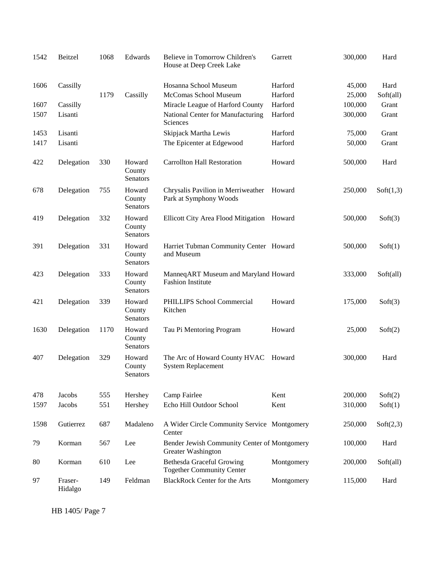| 1542 | Beitzel            | 1068 | Edwards                      | Believe in Tomorrow Children's<br>House at Deep Creek Lake           | Garrett    | 300,000 | Hard      |
|------|--------------------|------|------------------------------|----------------------------------------------------------------------|------------|---------|-----------|
| 1606 | Cassilly           |      |                              | Hosanna School Museum                                                | Harford    | 45,000  | Hard      |
|      |                    | 1179 | Cassilly                     | McComas School Museum                                                | Harford    | 25,000  | Soft(all) |
| 1607 | Cassilly           |      |                              | Miracle League of Harford County                                     | Harford    | 100,000 | Grant     |
| 1507 | Lisanti            |      |                              | National Center for Manufacturing<br>Sciences                        | Harford    | 300,000 | Grant     |
| 1453 | Lisanti            |      |                              | Skipjack Martha Lewis                                                | Harford    | 75,000  | Grant     |
| 1417 | Lisanti            |      |                              | The Epicenter at Edgewood                                            | Harford    | 50,000  | Grant     |
| 422  | Delegation         | 330  | Howard<br>County<br>Senators | <b>Carrollton Hall Restoration</b>                                   | Howard     | 500,000 | Hard      |
| 678  | Delegation         | 755  | Howard<br>County<br>Senators | Chrysalis Pavilion in Merriweather<br>Park at Symphony Woods         | Howard     | 250,000 | Soft(1,3) |
| 419  | Delegation         | 332  | Howard<br>County<br>Senators | Ellicott City Area Flood Mitigation Howard                           |            | 500,000 | Soft(3)   |
| 391  | Delegation         | 331  | Howard<br>County<br>Senators | Harriet Tubman Community Center Howard<br>and Museum                 |            | 500,000 | Soft(1)   |
| 423  | Delegation         | 333  | Howard<br>County<br>Senators | ManneqART Museum and Maryland Howard<br><b>Fashion Institute</b>     |            | 333,000 | Soft(all) |
| 421  | Delegation         | 339  | Howard<br>County<br>Senators | PHILLIPS School Commercial<br>Kitchen                                | Howard     | 175,000 | Soft(3)   |
| 1630 | Delegation         | 1170 | Howard<br>County<br>Senators | Tau Pi Mentoring Program                                             | Howard     | 25,000  | Soft(2)   |
| 407  | Delegation         | 329  | Howard<br>County<br>Senators | The Arc of Howard County HVAC<br><b>System Replacement</b>           | Howard     | 300,000 | Hard      |
| 478  | Jacobs             | 555  | Hershey                      | Camp Fairlee                                                         | Kent       | 200,000 | Soft(2)   |
| 1597 | Jacobs             | 551  | Hershey                      | Echo Hill Outdoor School                                             | Kent       | 310,000 | Soft(1)   |
| 1598 | Gutierrez          | 687  | Madaleno                     | A Wider Circle Community Service Montgomery<br>Center                |            | 250,000 | Soft(2,3) |
| 79   | Korman             | 567  | Lee                          | Bender Jewish Community Center of Montgomery<br>Greater Washington   |            | 100,000 | Hard      |
| 80   | Korman             | 610  | Lee                          | <b>Bethesda Graceful Growing</b><br><b>Together Community Center</b> | Montgomery | 200,000 | Soft(all) |
| 97   | Fraser-<br>Hidalgo | 149  | Feldman                      | <b>BlackRock Center for the Arts</b>                                 | Montgomery | 115,000 | Hard      |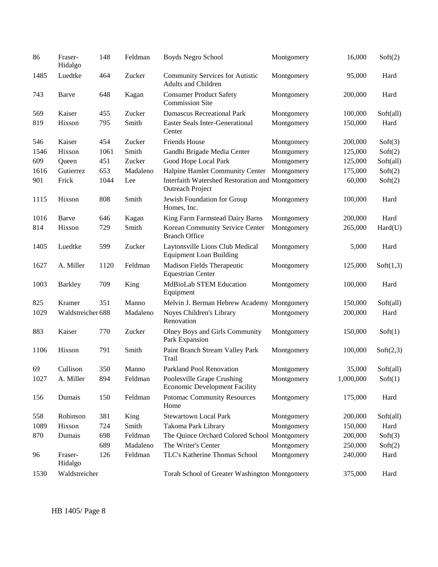| 86   | Fraser-<br>Hidalgo | 148  | Feldman                                       | Boyds Negro School                                                         | Montgomery | 16,000    | Soft(2)   |
|------|--------------------|------|-----------------------------------------------|----------------------------------------------------------------------------|------------|-----------|-----------|
| 1485 | Luedtke            | 464  | Zucker                                        | <b>Community Services for Autistic</b><br><b>Adults and Children</b>       | Montgomery | 95,000    | Hard      |
| 743  | Barve              | 648  | Kagan                                         | <b>Consumer Product Safety</b><br><b>Commission Site</b>                   | Montgomery | 200,000   | Hard      |
| 569  | Kaiser             | 455  | Zucker                                        | <b>Damascus Recreational Park</b>                                          | Montgomery | 100,000   | Soft(all) |
| 819  | Hixson             | 795  | Smith                                         | <b>Easter Seals Inter-Generational</b><br>Center                           | Montgomery | 150,000   | Hard      |
| 546  | Kaiser             | 454  | Zucker                                        | <b>Friends House</b>                                                       | Montgomery | 200,000   | Soft(3)   |
| 1546 | Hixson             | 1061 | Smith                                         | Gandhi Brigade Media Center                                                | Montgomery | 125,000   | Soft(2)   |
| 609  | Queen              | 451  | Zucker                                        | Good Hope Local Park                                                       | Montgomery | 125,000   | Soft(all) |
| 1616 | Gutierrez          | 653  | Madaleno                                      | Halpine Hamlet Community Center                                            | Montgomery | 175,000   | Soft(2)   |
| 901  | Frick              | 1044 | Lee                                           | Interfaith Watershed Restoration and Montgomery<br><b>Outreach Project</b> |            | 60,000    | Soft(2)   |
| 1115 | Hixson             | 808  | Smith                                         | Jewish Foundation for Group<br>Homes, Inc.                                 | Montgomery | 100,000   | Hard      |
| 1016 | Barve              | 646  | Kagan                                         | King Farm Farmstead Dairy Barns                                            | Montgomery | 200,000   | Hard      |
| 814  | Hixson             | 729  | Smith                                         | Korean Community Service Center<br><b>Branch Office</b>                    | Montgomery | 265,000   | Hard(U)   |
| 1405 | Luedtke            | 599  | Zucker                                        | Laytonsville Lions Club Medical<br><b>Equipment Loan Building</b>          | Montgomery | 5,000     | Hard      |
| 1627 | A. Miller          | 1120 | Feldman                                       | Madison Fields Therapeutic<br><b>Equestrian Center</b>                     | Montgomery | 125,000   | Soft(1,3) |
| 1003 | <b>Barkley</b>     | 709  | King                                          | <b>MdBioLab STEM Education</b><br>Equipment                                | Montgomery | 100,000   | Hard      |
| 825  | Kramer             | 351  | Manno                                         | Melvin J. Berman Hebrew Academy Montgomery                                 |            | 150,000   | Soft(all) |
| 1029 | Waldstreicher 688  |      | Madaleno                                      | Noyes Children's Library<br>Renovation                                     | Montgomery | 200,000   | Hard      |
| 883  | Kaiser             | 770  | Zucker                                        | Olney Boys and Girls Community<br>Park Expansion                           | Montgomery | 150,000   | Soft(1)   |
| 1106 | Hixson             | 791  | Smith                                         | Paint Branch Stream Valley Park<br>Trail                                   | Montgomery | 100,000   | Soft(2,3) |
| 69   | Cullison           | 350  | Manno                                         | Parkland Pool Renovation                                                   | Montgomery | 35,000    | Soft(all) |
| 1027 | A. Miller          | 894  | Feldman                                       | Poolesville Grape Crushing<br><b>Economic Development Facility</b>         | Montgomery | 1,000,000 | Soft(1)   |
| 156  | Dumais             | 150  | Feldman                                       | <b>Potomac Community Resources</b><br>Home                                 | Montgomery | 175,000   | Hard      |
| 558  | Robinson           | 381  | King                                          | <b>Stewartown Local Park</b>                                               | Montgomery | 200,000   | Soft(all) |
| 1089 | Hixson             | 724  | Smith                                         | Takoma Park Library                                                        | Montgomery | 150,000   | Hard      |
| 870  | Dumais             | 698  | Feldman                                       | The Quince Orchard Colored School Montgomery                               |            | 200,000   | Soft(3)   |
|      |                    | 689  | Madaleno                                      | The Writer's Center                                                        | Montgomery | 250,000   | Soft(2)   |
| 96   | Fraser-<br>Hidalgo | 126  | Feldman                                       | TLC's Katherine Thomas School                                              | Montgomery | 240,000   | Hard      |
| 1530 | Waldstreicher      |      | Torah School of Greater Washington Montgomery |                                                                            |            | 375,000   | Hard      |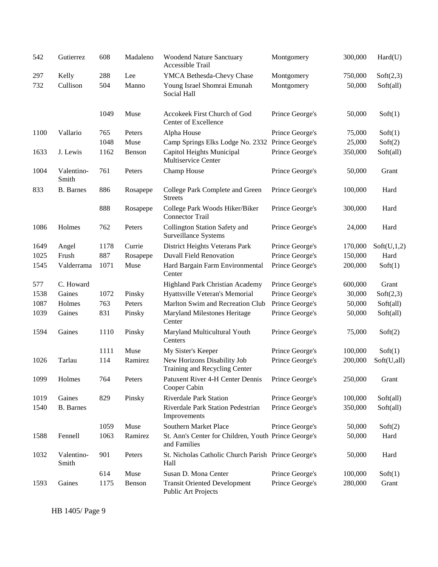| 542  | Gutierrez           | 608  | Madaleno | <b>Woodend Nature Sanctuary</b><br>Accessible Trail                  | Montgomery      | 300,000 | Hard(U)     |
|------|---------------------|------|----------|----------------------------------------------------------------------|-----------------|---------|-------------|
| 297  | Kelly               | 288  | Lee      | YMCA Bethesda-Chevy Chase                                            | Montgomery      | 750,000 | Soft(2,3)   |
| 732  | Cullison            | 504  | Manno    | Young Israel Shomrai Emunah<br>Social Hall                           | Montgomery      | 50,000  | Soft(all)   |
|      |                     | 1049 | Muse     | Accokeek First Church of God<br>Center of Excellence                 | Prince George's | 50,000  | Soft(1)     |
| 1100 | Vallario            | 765  | Peters   | Alpha House                                                          | Prince George's | 75,000  | Soft(1)     |
|      |                     | 1048 | Muse     | Camp Springs Elks Lodge No. 2332 Prince George's                     |                 | 25,000  | Soft(2)     |
| 1633 | J. Lewis            | 1162 | Benson   | Capitol Heights Municipal<br>Multiservice Center                     | Prince George's | 350,000 | Soft(all)   |
| 1004 | Valentino-<br>Smith | 761  | Peters   | Champ House                                                          | Prince George's | 50,000  | Grant       |
| 833  | <b>B.</b> Barnes    | 886  | Rosapepe | College Park Complete and Green<br><b>Streets</b>                    | Prince George's | 100,000 | Hard        |
|      |                     | 888  | Rosapepe | College Park Woods Hiker/Biker<br><b>Connector Trail</b>             | Prince George's | 300,000 | Hard        |
| 1086 | Holmes              | 762  | Peters   | Collington Station Safety and<br>Surveillance Systems                | Prince George's | 24,000  | Hard        |
| 1649 | Angel               | 1178 | Currie   | District Heights Veterans Park                                       | Prince George's | 170,000 | Soft(U,1,2) |
| 1025 | Frush               | 887  | Rosapepe | <b>Duvall Field Renovation</b>                                       | Prince George's | 150,000 | Hard        |
| 1545 | Valderrama          | 1071 | Muse     | Hard Bargain Farm Environmental<br>Center                            | Prince George's | 200,000 | Soft(1)     |
| 577  | C. Howard           |      |          | Highland Park Christian Academy                                      | Prince George's | 600,000 | Grant       |
| 1538 | Gaines              | 1072 | Pinsky   | Hyattsville Veteran's Memorial                                       | Prince George's | 30,000  | Soft(2,3)   |
| 1087 | Holmes              | 763  | Peters   | Marlton Swim and Recreation Club                                     | Prince George's | 50,000  | Soft(all)   |
| 1039 | Gaines              | 831  | Pinsky   | Maryland Milestones Heritage<br>Center                               | Prince George's | 50,000  | Soft(all)   |
| 1594 | Gaines              | 1110 | Pinsky   | Maryland Multicultural Youth<br>Centers                              | Prince George's | 75,000  | Soft(2)     |
|      |                     | 1111 | Muse     | My Sister's Keeper                                                   | Prince George's | 100,000 | Soft(1)     |
| 1026 | Tarlau              | 114  | Ramirez  | New Horizons Disability Job<br>Training and Recycling Center         | Prince George's | 200,000 | Soft(U,all) |
| 1099 | Holmes              | 764  | Peters   | Patuxent River 4-H Center Dennis<br>Cooper Cabin                     | Prince George's | 250,000 | Grant       |
| 1019 | Gaines              | 829  | Pinsky   | <b>Riverdale Park Station</b>                                        | Prince George's | 100,000 | Soft(all)   |
| 1540 | <b>B.</b> Barnes    |      |          | Riverdale Park Station Pedestrian<br>Improvements                    | Prince George's | 350,000 | Soft(all)   |
|      |                     | 1059 | Muse     | Southern Market Place                                                | Prince George's | 50,000  | Soft(2)     |
| 1588 | Fennell             | 1063 | Ramirez  | St. Ann's Center for Children, Youth Prince George's<br>and Families |                 | 50,000  | Hard        |
| 1032 | Valentino-<br>Smith | 901  | Peters   | St. Nicholas Catholic Church Parish Prince George's<br>Hall          |                 | 50,000  | Hard        |
|      |                     | 614  | Muse     | Susan D. Mona Center                                                 | Prince George's | 100,000 | Soft(1)     |
| 1593 | Gaines              | 1175 | Benson   | <b>Transit Oriented Development</b><br>Public Art Projects           | Prince George's | 280,000 | Grant       |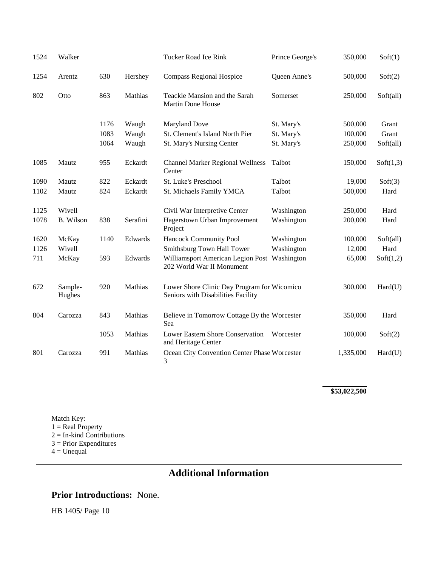| 1524 | Walker            |      |          | Tucker Road Ice Rink                                                              | Prince George's | 350,000   | Soft(1)   |
|------|-------------------|------|----------|-----------------------------------------------------------------------------------|-----------------|-----------|-----------|
| 1254 | Arentz            | 630  | Hershey  | <b>Compass Regional Hospice</b>                                                   | Queen Anne's    | 500,000   | Soft(2)   |
| 802  | Otto              | 863  | Mathias  | Teackle Mansion and the Sarah<br><b>Martin Done House</b>                         | Somerset        | 250,000   | Soft(all) |
|      |                   | 1176 | Waugh    | <b>Maryland Dove</b>                                                              | St. Mary's      | 500,000   | Grant     |
|      |                   | 1083 | Waugh    | St. Clement's Island North Pier                                                   | St. Mary's      | 100,000   | Grant     |
|      |                   | 1064 | Waugh    | St. Mary's Nursing Center                                                         | St. Mary's      | 250,000   | Soft(all) |
| 1085 | Mautz             | 955  | Eckardt  | <b>Channel Marker Regional Wellness</b><br>Center                                 | Talbot          | 150,000   | Soft(1,3) |
| 1090 | Mautz             | 822  | Eckardt  | St. Luke's Preschool                                                              | Talbot          | 19,000    | Soft(3)   |
| 1102 | Mautz             | 824  | Eckardt  | St. Michaels Family YMCA                                                          | Talbot          | 500,000   | Hard      |
| 1125 | Wivell            |      |          | Civil War Interpretive Center                                                     | Washington      | 250,000   | Hard      |
| 1078 | <b>B.</b> Wilson  | 838  | Serafini | Hagerstown Urban Improvement<br>Project                                           | Washington      | 200,000   | Hard      |
| 1620 | McKay             | 1140 | Edwards  | Hancock Community Pool                                                            | Washington      | 100,000   | Soft(all) |
| 1126 | Wivell            |      |          | Smithsburg Town Hall Tower                                                        | Washington      | 12,000    | Hard      |
| 711  | McKay             | 593  | Edwards  | Williamsport American Legion Post Washington<br>202 World War II Monument         |                 | 65,000    | Soft(1,2) |
| 672  | Sample-<br>Hughes | 920  | Mathias  | Lower Shore Clinic Day Program for Wicomico<br>Seniors with Disabilities Facility |                 | 300,000   | Hard(U)   |
| 804  | Carozza           | 843  | Mathias  | Believe in Tomorrow Cottage By the Worcester<br>Sea                               |                 | 350,000   | Hard      |
|      |                   | 1053 | Mathias  | Lower Eastern Shore Conservation<br>and Heritage Center                           | Worcester       | 100,000   | Soft(2)   |
| 801  | Carozza           | 991  | Mathias  | Ocean City Convention Center Phase Worcester<br>3                                 |                 | 1,335,000 | Hard(U)   |

**\$53,022,500**

Match Key:  $1 = Real Property$ 2 = In-kind Contributions 3 = Prior Expenditures  $4 =$ Unequal

# **Additional Information**

### **Prior Introductions:** None.